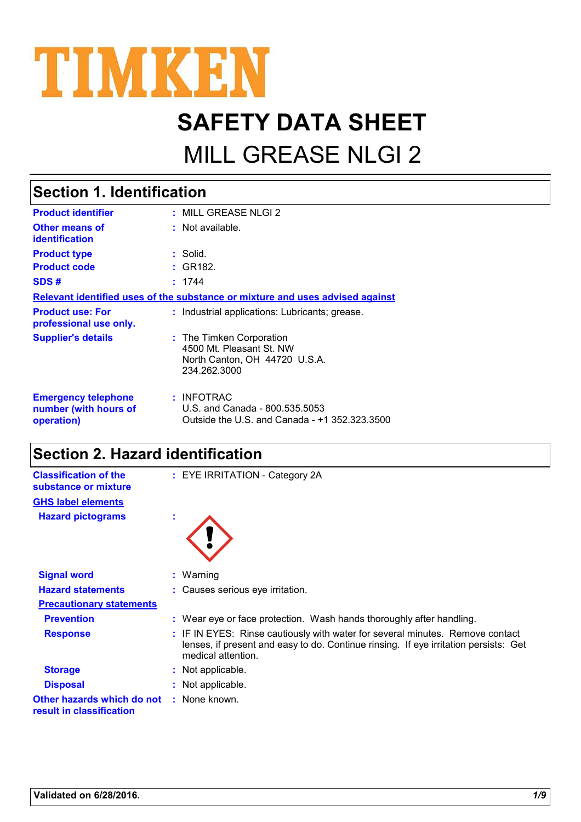

# **SAFETY DATA SHEET**

## MILL GREASE NLGI 2

#### MILL GREASE NLGI 2 **: :** Not available. **:** Solid. : INFOTRAC U.S. and Canada - 800.535.5053 Outside the U.S. and Canada - +1 352.323.3500 **Product identifier Other means of identification Product type Emergency telephone number (with hours of operation) Section 1. Identification Supplier's details :** The Timken Corporation 4500 Mt. Pleasant St. NW North Canton, OH 44720 U.S.A. 234.262.3000 **Relevant identified uses of the substance or mixture and uses advised against Product code :** GR182. **SDS # :** 1744 **Product use: For professional use only. :** Industrial applications: Lubricants; grease.

### **Section 2. Hazard identification**

| <b>Classification of the</b><br>substance or mixture   |   | : EYE IRRITATION - Category 2A                                                                                                                                                              |
|--------------------------------------------------------|---|---------------------------------------------------------------------------------------------------------------------------------------------------------------------------------------------|
| <b>GHS label elements</b>                              |   |                                                                                                                                                                                             |
| <b>Hazard pictograms</b>                               | ٠ |                                                                                                                                                                                             |
|                                                        |   |                                                                                                                                                                                             |
| <b>Signal word</b>                                     |   | $:$ Warning                                                                                                                                                                                 |
| <b>Hazard statements</b>                               |   | : Causes serious eye irritation.                                                                                                                                                            |
| <b>Precautionary statements</b>                        |   |                                                                                                                                                                                             |
| <b>Prevention</b>                                      |   | : Wear eye or face protection. Wash hands thoroughly after handling.                                                                                                                        |
| <b>Response</b>                                        |   | : IF IN EYES: Rinse cautiously with water for several minutes. Remove contact<br>lenses, if present and easy to do. Continue rinsing. If eye irritation persists: Get<br>medical attention. |
| <b>Storage</b>                                         |   | Not applicable.                                                                                                                                                                             |
| <b>Disposal</b>                                        |   | : Not applicable.                                                                                                                                                                           |
| Other hazards which do not<br>result in classification |   | : None known.                                                                                                                                                                               |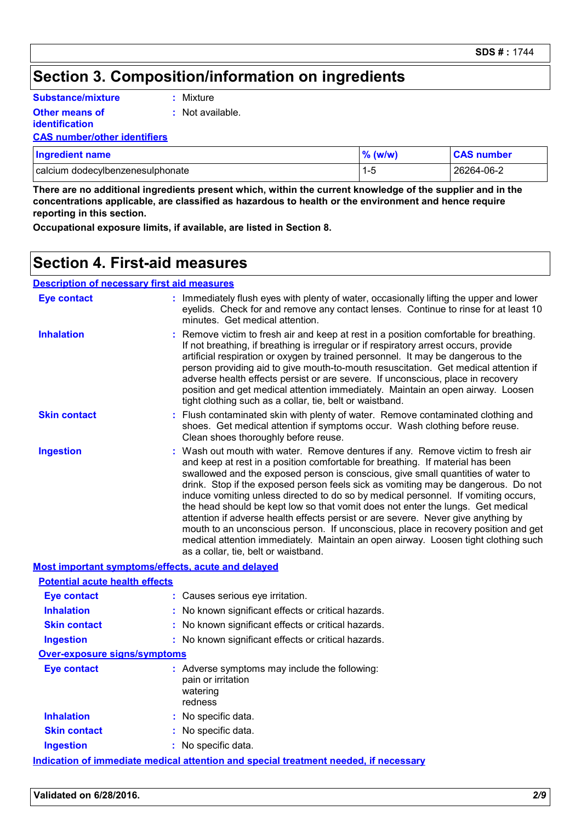### **Section 3. Composition/information on ingredients**

| Substance/mixture     | : Mixture          |
|-----------------------|--------------------|
| <b>Other means of</b> | $:$ Not available. |
| <i>identification</i> |                    |

#### **CAS number/other identifiers**

| <b>Ingredient name</b>           | $%$ (w/w) | <b>CAS number</b> |
|----------------------------------|-----------|-------------------|
| calcium dodecylbenzenesulphonate | 1-5       | 26264-06-2        |

**There are no additional ingredients present which, within the current knowledge of the supplier and in the concentrations applicable, are classified as hazardous to health or the environment and hence require reporting in this section.**

**Occupational exposure limits, if available, are listed in Section 8.**

### **Section 4. First-aid measures**

#### **Description of necessary first aid measures**

| <b>Eye contact</b>                                 | : Immediately flush eyes with plenty of water, occasionally lifting the upper and lower<br>eyelids. Check for and remove any contact lenses. Continue to rinse for at least 10<br>minutes. Get medical attention.                                                                                                                                                                                                                                                                                                                                                                                                                                                                                                                                                                                                          |
|----------------------------------------------------|----------------------------------------------------------------------------------------------------------------------------------------------------------------------------------------------------------------------------------------------------------------------------------------------------------------------------------------------------------------------------------------------------------------------------------------------------------------------------------------------------------------------------------------------------------------------------------------------------------------------------------------------------------------------------------------------------------------------------------------------------------------------------------------------------------------------------|
| <b>Inhalation</b>                                  | Remove victim to fresh air and keep at rest in a position comfortable for breathing.<br>If not breathing, if breathing is irregular or if respiratory arrest occurs, provide<br>artificial respiration or oxygen by trained personnel. It may be dangerous to the<br>person providing aid to give mouth-to-mouth resuscitation. Get medical attention if<br>adverse health effects persist or are severe. If unconscious, place in recovery<br>position and get medical attention immediately. Maintain an open airway. Loosen<br>tight clothing such as a collar, tie, belt or waistband.                                                                                                                                                                                                                                 |
| <b>Skin contact</b>                                | Flush contaminated skin with plenty of water. Remove contaminated clothing and<br>shoes. Get medical attention if symptoms occur. Wash clothing before reuse.<br>Clean shoes thoroughly before reuse.                                                                                                                                                                                                                                                                                                                                                                                                                                                                                                                                                                                                                      |
| <b>Ingestion</b>                                   | Wash out mouth with water. Remove dentures if any. Remove victim to fresh air<br>and keep at rest in a position comfortable for breathing. If material has been<br>swallowed and the exposed person is conscious, give small quantities of water to<br>drink. Stop if the exposed person feels sick as vomiting may be dangerous. Do not<br>induce vomiting unless directed to do so by medical personnel. If vomiting occurs,<br>the head should be kept low so that vomit does not enter the lungs. Get medical<br>attention if adverse health effects persist or are severe. Never give anything by<br>mouth to an unconscious person. If unconscious, place in recovery position and get<br>medical attention immediately. Maintain an open airway. Loosen tight clothing such<br>as a collar, tie, belt or waistband. |
| Most important symptoms/effects, acute and delayed |                                                                                                                                                                                                                                                                                                                                                                                                                                                                                                                                                                                                                                                                                                                                                                                                                            |
| <b>Potential acute health effects</b>              |                                                                                                                                                                                                                                                                                                                                                                                                                                                                                                                                                                                                                                                                                                                                                                                                                            |
| <b>Eye contact</b>                                 | : Causes serious eye irritation.                                                                                                                                                                                                                                                                                                                                                                                                                                                                                                                                                                                                                                                                                                                                                                                           |
| <b>Inhalation</b>                                  | : No known significant effects or critical hazards.                                                                                                                                                                                                                                                                                                                                                                                                                                                                                                                                                                                                                                                                                                                                                                        |
| <b>Skin contact</b>                                | : No known significant effects or critical hazards.                                                                                                                                                                                                                                                                                                                                                                                                                                                                                                                                                                                                                                                                                                                                                                        |
| <b>Ingestion</b>                                   | : No known significant effects or critical hazards.                                                                                                                                                                                                                                                                                                                                                                                                                                                                                                                                                                                                                                                                                                                                                                        |
| Over-exposure signs/symptoms                       |                                                                                                                                                                                                                                                                                                                                                                                                                                                                                                                                                                                                                                                                                                                                                                                                                            |
| <b>Eye contact</b>                                 | : Adverse symptoms may include the following:<br>pain or irritation<br>watering<br>redness                                                                                                                                                                                                                                                                                                                                                                                                                                                                                                                                                                                                                                                                                                                                 |
| <b>Inhalation</b>                                  | : No specific data.                                                                                                                                                                                                                                                                                                                                                                                                                                                                                                                                                                                                                                                                                                                                                                                                        |
| <b>Skin contact</b>                                | : No specific data.                                                                                                                                                                                                                                                                                                                                                                                                                                                                                                                                                                                                                                                                                                                                                                                                        |
| <b>Ingestion</b>                                   | : No specific data.                                                                                                                                                                                                                                                                                                                                                                                                                                                                                                                                                                                                                                                                                                                                                                                                        |
|                                                    | <u>Indication of immediate medical attention and special treatment needed, if necessary</u>                                                                                                                                                                                                                                                                                                                                                                                                                                                                                                                                                                                                                                                                                                                                |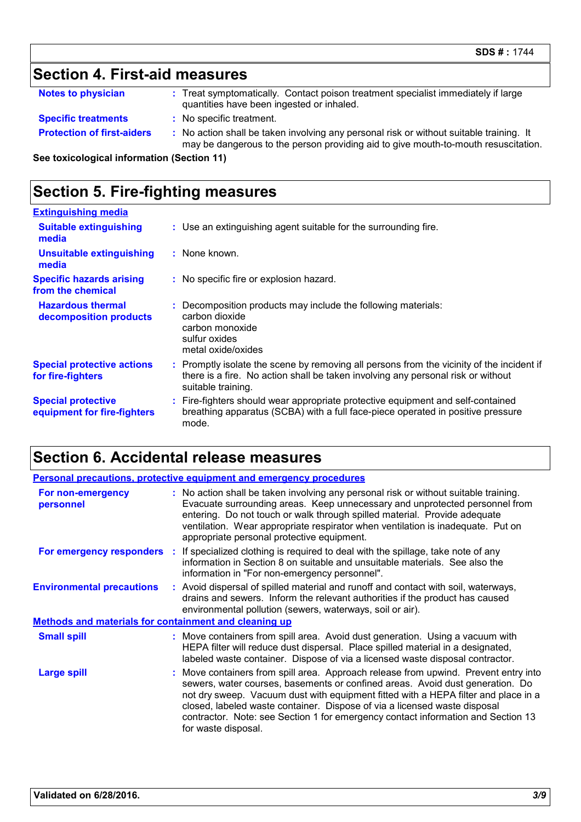### **Section 4. First-aid measures**

| <b>Notes to physician</b> | Treat symptomatically. Contact poison treatment specialist immediately if large |
|---------------------------|---------------------------------------------------------------------------------|
|                           | quantities have been ingested or inhaled.                                       |

- **Specific treatments :** No specific treatment.
- **Protection of first-aiders** : No action shall be taken involving any personal risk or without suitable training. It may be dangerous to the person providing aid to give mouth-to-mouth resuscitation.

**See toxicological information (Section 11)**

### **Section 5. Fire-fighting measures**

| <b>Extinguishing media</b>                               |                                                                                                                                                                                                     |
|----------------------------------------------------------|-----------------------------------------------------------------------------------------------------------------------------------------------------------------------------------------------------|
| <b>Suitable extinguishing</b><br>media                   | : Use an extinguishing agent suitable for the surrounding fire.                                                                                                                                     |
| <b>Unsuitable extinguishing</b><br>media                 | : None known.                                                                                                                                                                                       |
| <b>Specific hazards arising</b><br>from the chemical     | : No specific fire or explosion hazard.                                                                                                                                                             |
| <b>Hazardous thermal</b><br>decomposition products       | : Decomposition products may include the following materials:<br>carbon dioxide<br>carbon monoxide<br>sulfur oxides<br>metal oxide/oxides                                                           |
| <b>Special protective actions</b><br>for fire-fighters   | : Promptly isolate the scene by removing all persons from the vicinity of the incident if<br>there is a fire. No action shall be taken involving any personal risk or without<br>suitable training. |
| <b>Special protective</b><br>equipment for fire-fighters | : Fire-fighters should wear appropriate protective equipment and self-contained<br>breathing apparatus (SCBA) with a full face-piece operated in positive pressure<br>mode.                         |

### **Section 6. Accidental release measures**

|                                                              | <b>Personal precautions, protective equipment and emergency procedures</b>                                                                                                                                                                                                                                                                                                                                                                         |
|--------------------------------------------------------------|----------------------------------------------------------------------------------------------------------------------------------------------------------------------------------------------------------------------------------------------------------------------------------------------------------------------------------------------------------------------------------------------------------------------------------------------------|
| For non-emergency<br>personnel                               | : No action shall be taken involving any personal risk or without suitable training.<br>Evacuate surrounding areas. Keep unnecessary and unprotected personnel from<br>entering. Do not touch or walk through spilled material. Provide adequate<br>ventilation. Wear appropriate respirator when ventilation is inadequate. Put on<br>appropriate personal protective equipment.                                                                  |
|                                                              | For emergency responders : If specialized clothing is required to deal with the spillage, take note of any<br>information in Section 8 on suitable and unsuitable materials. See also the<br>information in "For non-emergency personnel".                                                                                                                                                                                                         |
| <b>Environmental precautions</b>                             | : Avoid dispersal of spilled material and runoff and contact with soil, waterways,<br>drains and sewers. Inform the relevant authorities if the product has caused<br>environmental pollution (sewers, waterways, soil or air).                                                                                                                                                                                                                    |
| <b>Methods and materials for containment and cleaning up</b> |                                                                                                                                                                                                                                                                                                                                                                                                                                                    |
| <b>Small spill</b>                                           | : Move containers from spill area. Avoid dust generation. Using a vacuum with<br>HEPA filter will reduce dust dispersal. Place spilled material in a designated,<br>labeled waste container. Dispose of via a licensed waste disposal contractor.                                                                                                                                                                                                  |
| Large spill                                                  | : Move containers from spill area. Approach release from upwind. Prevent entry into<br>sewers, water courses, basements or confined areas. Avoid dust generation. Do<br>not dry sweep. Vacuum dust with equipment fitted with a HEPA filter and place in a<br>closed, labeled waste container. Dispose of via a licensed waste disposal<br>contractor. Note: see Section 1 for emergency contact information and Section 13<br>for waste disposal. |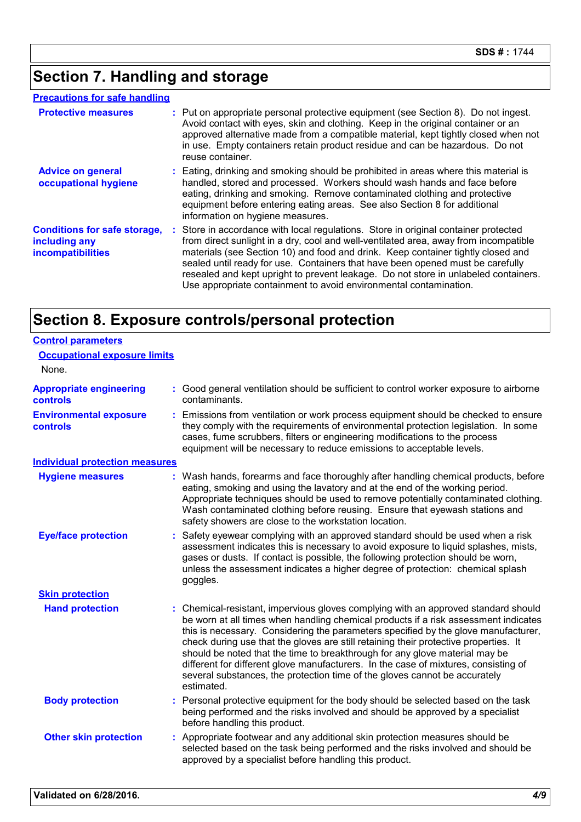### **Section 7. Handling and storage**

#### **Precautions for safe handling**

| <b>Protective measures</b>                                                       | : Put on appropriate personal protective equipment (see Section 8). Do not ingest.<br>Avoid contact with eyes, skin and clothing. Keep in the original container or an<br>approved alternative made from a compatible material, kept tightly closed when not<br>in use. Empty containers retain product residue and can be hazardous. Do not<br>reuse container.                                                                                                                                              |
|----------------------------------------------------------------------------------|---------------------------------------------------------------------------------------------------------------------------------------------------------------------------------------------------------------------------------------------------------------------------------------------------------------------------------------------------------------------------------------------------------------------------------------------------------------------------------------------------------------|
| <b>Advice on general</b><br>occupational hygiene                                 | : Eating, drinking and smoking should be prohibited in areas where this material is<br>handled, stored and processed. Workers should wash hands and face before<br>eating, drinking and smoking. Remove contaminated clothing and protective<br>equipment before entering eating areas. See also Section 8 for additional<br>information on hygiene measures.                                                                                                                                                 |
| <b>Conditions for safe storage,</b><br>including any<br><b>incompatibilities</b> | : Store in accordance with local regulations. Store in original container protected<br>from direct sunlight in a dry, cool and well-ventilated area, away from incompatible<br>materials (see Section 10) and food and drink. Keep container tightly closed and<br>sealed until ready for use. Containers that have been opened must be carefully<br>resealed and kept upright to prevent leakage. Do not store in unlabeled containers.<br>Use appropriate containment to avoid environmental contamination. |

### **Section 8. Exposure controls/personal protection**

| <b>Control parameters</b>                         |                                                                                                                                                                                                                                                                                                                                                                                                                                                                                                                                                                                                                           |
|---------------------------------------------------|---------------------------------------------------------------------------------------------------------------------------------------------------------------------------------------------------------------------------------------------------------------------------------------------------------------------------------------------------------------------------------------------------------------------------------------------------------------------------------------------------------------------------------------------------------------------------------------------------------------------------|
| <b>Occupational exposure limits</b>               |                                                                                                                                                                                                                                                                                                                                                                                                                                                                                                                                                                                                                           |
| None.                                             |                                                                                                                                                                                                                                                                                                                                                                                                                                                                                                                                                                                                                           |
| <b>Appropriate engineering</b><br><b>controls</b> | : Good general ventilation should be sufficient to control worker exposure to airborne<br>contaminants.                                                                                                                                                                                                                                                                                                                                                                                                                                                                                                                   |
| <b>Environmental exposure</b><br><b>controls</b>  | Emissions from ventilation or work process equipment should be checked to ensure<br>they comply with the requirements of environmental protection legislation. In some<br>cases, fume scrubbers, filters or engineering modifications to the process<br>equipment will be necessary to reduce emissions to acceptable levels.                                                                                                                                                                                                                                                                                             |
| <b>Individual protection measures</b>             |                                                                                                                                                                                                                                                                                                                                                                                                                                                                                                                                                                                                                           |
| <b>Hygiene measures</b>                           | : Wash hands, forearms and face thoroughly after handling chemical products, before<br>eating, smoking and using the lavatory and at the end of the working period.<br>Appropriate techniques should be used to remove potentially contaminated clothing.<br>Wash contaminated clothing before reusing. Ensure that eyewash stations and<br>safety showers are close to the workstation location.                                                                                                                                                                                                                         |
| <b>Eye/face protection</b>                        | : Safety eyewear complying with an approved standard should be used when a risk<br>assessment indicates this is necessary to avoid exposure to liquid splashes, mists,<br>gases or dusts. If contact is possible, the following protection should be worn,<br>unless the assessment indicates a higher degree of protection: chemical splash<br>goggles.                                                                                                                                                                                                                                                                  |
| <b>Skin protection</b>                            |                                                                                                                                                                                                                                                                                                                                                                                                                                                                                                                                                                                                                           |
| <b>Hand protection</b>                            | : Chemical-resistant, impervious gloves complying with an approved standard should<br>be worn at all times when handling chemical products if a risk assessment indicates<br>this is necessary. Considering the parameters specified by the glove manufacturer,<br>check during use that the gloves are still retaining their protective properties. It<br>should be noted that the time to breakthrough for any glove material may be<br>different for different glove manufacturers. In the case of mixtures, consisting of<br>several substances, the protection time of the gloves cannot be accurately<br>estimated. |
| <b>Body protection</b>                            | Personal protective equipment for the body should be selected based on the task<br>being performed and the risks involved and should be approved by a specialist<br>before handling this product.                                                                                                                                                                                                                                                                                                                                                                                                                         |
| <b>Other skin protection</b>                      | Appropriate footwear and any additional skin protection measures should be<br>selected based on the task being performed and the risks involved and should be<br>approved by a specialist before handling this product.                                                                                                                                                                                                                                                                                                                                                                                                   |
|                                                   |                                                                                                                                                                                                                                                                                                                                                                                                                                                                                                                                                                                                                           |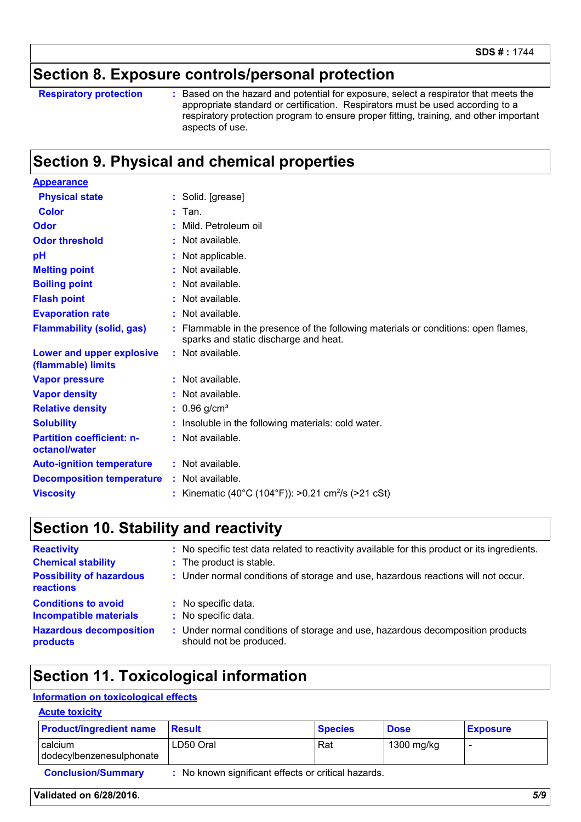### **Section 8. Exposure controls/personal protection**

**Respiratory protection :**

Based on the hazard and potential for exposure, select a respirator that meets the appropriate standard or certification. Respirators must be used according to a respiratory protection program to ensure proper fitting, training, and other important aspects of use.

### **Section 9. Physical and chemical properties**

| <b>Appearance</b>                                 |                                                                                                                             |
|---------------------------------------------------|-----------------------------------------------------------------------------------------------------------------------------|
| <b>Physical state</b>                             | : Solid. [grease]                                                                                                           |
| <b>Color</b>                                      | Tan.                                                                                                                        |
| Odor                                              | Mild. Petroleum oil                                                                                                         |
| <b>Odor threshold</b>                             | : Not available.                                                                                                            |
| pH                                                | Not applicable.                                                                                                             |
| <b>Melting point</b>                              | : Not available.                                                                                                            |
| <b>Boiling point</b>                              | : Not available.                                                                                                            |
| <b>Flash point</b>                                | : Not available.                                                                                                            |
| <b>Evaporation rate</b>                           | : Not available.                                                                                                            |
| <b>Flammability (solid, gas)</b>                  | : Flammable in the presence of the following materials or conditions: open flames,<br>sparks and static discharge and heat. |
| Lower and upper explosive<br>(flammable) limits   | : Not available.                                                                                                            |
| <b>Vapor pressure</b>                             | : Not available.                                                                                                            |
| <b>Vapor density</b>                              | : Not available.                                                                                                            |
| <b>Relative density</b>                           | $: 0.96$ g/cm <sup>3</sup>                                                                                                  |
| <b>Solubility</b>                                 | Insoluble in the following materials: cold water.                                                                           |
| <b>Partition coefficient: n-</b><br>octanol/water | : Not available.                                                                                                            |
| <b>Auto-ignition temperature</b>                  | : Not available.                                                                                                            |
| <b>Decomposition temperature</b>                  | : Not available.                                                                                                            |
| <b>Viscosity</b>                                  | : Kinematic (40°C (104°F)): >0.21 cm <sup>2</sup> /s (>21 cSt)                                                              |

### **Section 10. Stability and reactivity**

| <b>Reactivity</b><br><b>Chemical stability</b><br><b>Possibility of hazardous</b><br>reactions | : No specific test data related to reactivity available for this product or its ingredients.<br>: The product is stable.<br>: Under normal conditions of storage and use, hazardous reactions will not occur. |
|------------------------------------------------------------------------------------------------|---------------------------------------------------------------------------------------------------------------------------------------------------------------------------------------------------------------|
| <b>Conditions to avoid</b>                                                                     | : No specific data.                                                                                                                                                                                           |
| <b>Incompatible materials</b>                                                                  | : No specific data.                                                                                                                                                                                           |
| <b>Hazardous decomposition</b>                                                                 | : Under normal conditions of storage and use, hazardous decomposition products                                                                                                                                |
| products                                                                                       | should not be produced.                                                                                                                                                                                       |

### **Section 11. Toxicological information**

#### **Information on toxicological effects**

| <b>Acute toxicity</b> |  |  |  |  |  |
|-----------------------|--|--|--|--|--|
|                       |  |  |  |  |  |

| <b>Product/ingredient name</b>      | <b>Result</b>                                       | <b>Species</b> | <b>Dose</b> | <b>Exposure</b> |
|-------------------------------------|-----------------------------------------------------|----------------|-------------|-----------------|
| calcium<br>dodecylbenzenesulphonate | LD50 Oral                                           | Rat            | 1300 mg/kg  |                 |
| <b>Conclusion/Summary</b>           | : No known significant effects or critical hazards. |                |             |                 |

#### **Validated on 6/28/2016.** *5/9*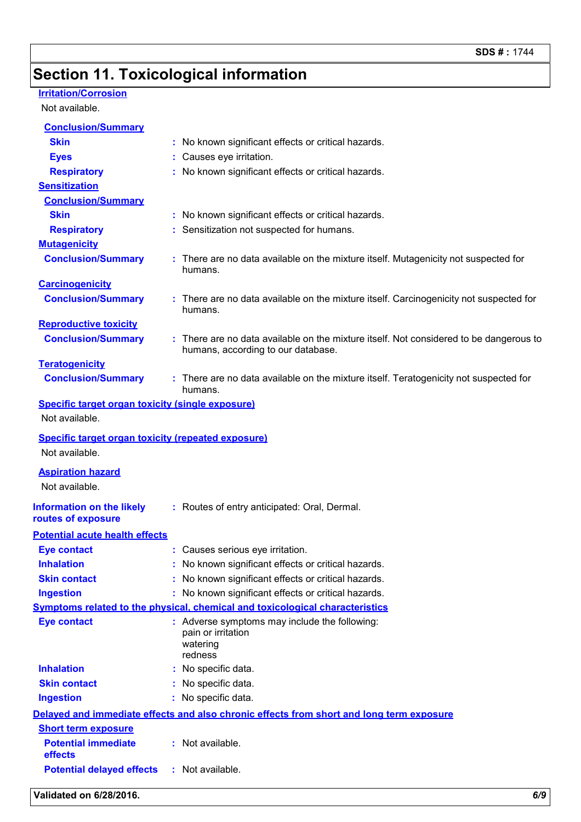### **Section 11. Toxicological information**

### **Irritation/Corrosion**

Not available.

| Validated on 6/28/2016.                                     | 6/9                                                                                                                          |
|-------------------------------------------------------------|------------------------------------------------------------------------------------------------------------------------------|
| <b>Potential delayed effects</b>                            | : Not available.                                                                                                             |
| <b>Potential immediate</b><br>effects                       | : Not available.                                                                                                             |
| <b>Short term exposure</b>                                  |                                                                                                                              |
|                                                             | Delayed and immediate effects and also chronic effects from short and long term exposure                                     |
| <b>Ingestion</b>                                            | : No specific data.                                                                                                          |
| <b>Skin contact</b>                                         | No specific data.                                                                                                            |
| <b>Inhalation</b>                                           | No specific data.                                                                                                            |
|                                                             | pain or irritation<br>watering<br>redness                                                                                    |
| <b>Eye contact</b>                                          | : Adverse symptoms may include the following:                                                                                |
|                                                             | <b>Symptoms related to the physical, chemical and toxicological characteristics</b>                                          |
| <b>Ingestion</b>                                            | : No known significant effects or critical hazards.                                                                          |
| <b>Skin contact</b>                                         | No known significant effects or critical hazards.                                                                            |
| <b>Inhalation</b>                                           | : No known significant effects or critical hazards.                                                                          |
| <b>Eye contact</b>                                          | : Causes serious eye irritation.                                                                                             |
| routes of exposure<br><b>Potential acute health effects</b> |                                                                                                                              |
| <b>Information on the likely</b>                            | : Routes of entry anticipated: Oral, Dermal.                                                                                 |
| <b>Aspiration hazard</b><br>Not available.                  |                                                                                                                              |
| Not available.                                              |                                                                                                                              |
| <b>Specific target organ toxicity (repeated exposure)</b>   |                                                                                                                              |
| Not available.                                              |                                                                                                                              |
| <b>Specific target organ toxicity (single exposure)</b>     |                                                                                                                              |
| <b>Conclusion/Summary</b>                                   | : There are no data available on the mixture itself. Teratogenicity not suspected for<br>humans.                             |
| <b>Teratogenicity</b>                                       |                                                                                                                              |
| <b>Conclusion/Summary</b>                                   | : There are no data available on the mixture itself. Not considered to be dangerous to<br>humans, according to our database. |
| <b>Reproductive toxicity</b>                                |                                                                                                                              |
| <b>Conclusion/Summary</b>                                   | : There are no data available on the mixture itself. Carcinogenicity not suspected for<br>humans.                            |
| <b>Carcinogenicity</b>                                      |                                                                                                                              |
| <b>Conclusion/Summary</b>                                   | : There are no data available on the mixture itself. Mutagenicity not suspected for<br>humans.                               |
| <b>Mutagenicity</b>                                         |                                                                                                                              |
| <b>Respiratory</b>                                          | : Sensitization not suspected for humans.                                                                                    |
| <b>Skin</b>                                                 | : No known significant effects or critical hazards.                                                                          |
| <b>Conclusion/Summary</b>                                   |                                                                                                                              |
| <b>Sensitization</b>                                        |                                                                                                                              |
| <b>Respiratory</b>                                          | : No known significant effects or critical hazards.                                                                          |
| <b>Skin</b><br><b>Eyes</b>                                  | : No known significant effects or critical hazards.<br>: Causes eye irritation.                                              |
| <b>Conclusion/Summary</b>                                   |                                                                                                                              |
|                                                             |                                                                                                                              |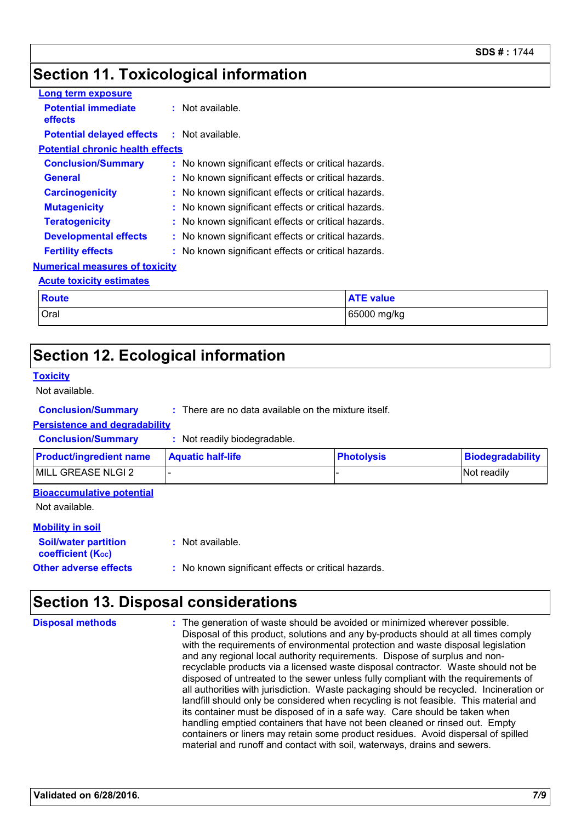### **Section 11. Toxicological information**

| Long term exposure                      |                                                     |                  |  |  |
|-----------------------------------------|-----------------------------------------------------|------------------|--|--|
| <b>Potential immediate</b><br>effects   | $:$ Not available.                                  |                  |  |  |
| <b>Potential delayed effects</b>        | $:$ Not available.                                  |                  |  |  |
| <b>Potential chronic health effects</b> |                                                     |                  |  |  |
| <b>Conclusion/Summary</b>               | : No known significant effects or critical hazards. |                  |  |  |
| <b>General</b>                          | No known significant effects or critical hazards.   |                  |  |  |
| <b>Carcinogenicity</b>                  | : No known significant effects or critical hazards. |                  |  |  |
| <b>Mutagenicity</b>                     | : No known significant effects or critical hazards. |                  |  |  |
| <b>Teratogenicity</b>                   | No known significant effects or critical hazards.   |                  |  |  |
| <b>Developmental effects</b>            | No known significant effects or critical hazards.   |                  |  |  |
| <b>Fertility effects</b>                | No known significant effects or critical hazards.   |                  |  |  |
| <b>Numerical measures of toxicity</b>   |                                                     |                  |  |  |
| <b>Acute toxicity estimates</b>         |                                                     |                  |  |  |
| <b>Route</b>                            |                                                     | <b>ATE value</b> |  |  |
| Oral                                    |                                                     | 65000 mg/kg      |  |  |

### **Section 12. Ecological information**

#### **Toxicity**

Not available.

#### **Conclusion/Summary :** There are no data available on the mixture itself.

#### **Persistence and degradability**

**Conclusion/Summary :** Not readily biodegradable.

| <b>Product/ingredient name</b> | <b>Aquatic half-life</b> | <b>Photolysis</b> | Biodegradability |
|--------------------------------|--------------------------|-------------------|------------------|
| MILL GREASE NLGI 2             |                          |                   | Not readily      |

#### **Bioaccumulative potential**

Not available.

#### **Mobility in soil**

| <b>Soil/water partition</b><br>coefficient (K <sub>oc</sub> ) | : Not available.                                    |  |
|---------------------------------------------------------------|-----------------------------------------------------|--|
| <b>Other adverse effects</b>                                  | : No known significant effects or critical hazards. |  |

### **Section 13. Disposal considerations**

The generation of waste should be avoided or minimized wherever possible. Disposal of this product, solutions and any by-products should at all times comply with the requirements of environmental protection and waste disposal legislation and any regional local authority requirements. Dispose of surplus and nonrecyclable products via a licensed waste disposal contractor. Waste should not be disposed of untreated to the sewer unless fully compliant with the requirements of all authorities with jurisdiction. Waste packaging should be recycled. Incineration or landfill should only be considered when recycling is not feasible. This material and its container must be disposed of in a safe way. Care should be taken when handling emptied containers that have not been cleaned or rinsed out. Empty containers or liners may retain some product residues. Avoid dispersal of spilled material and runoff and contact with soil, waterways, drains and sewers. **Disposal methods :**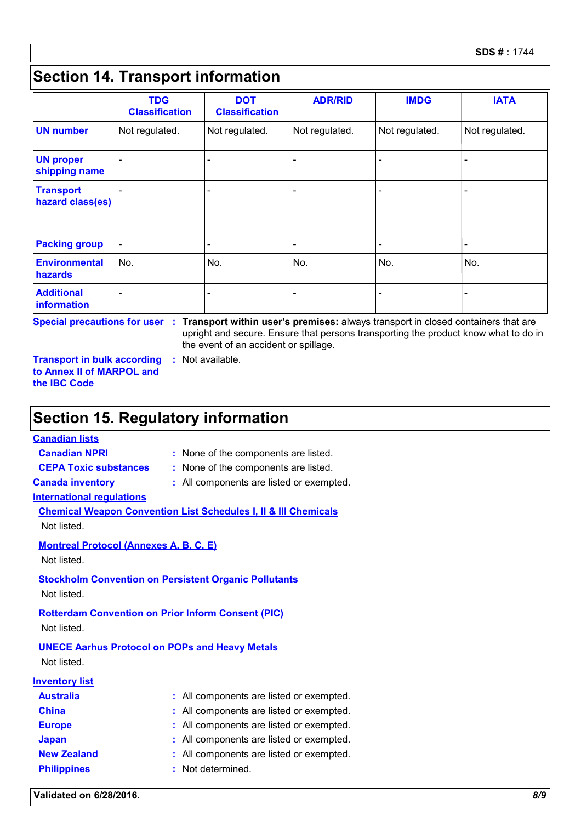### **Section 14. Transport information**

|                                      | <b>TDG</b><br><b>Classification</b> | <b>DOT</b><br><b>Classification</b> | <b>ADR/RID</b>           | <b>IMDG</b>              | <b>IATA</b>    |
|--------------------------------------|-------------------------------------|-------------------------------------|--------------------------|--------------------------|----------------|
| <b>UN number</b>                     | Not regulated.                      | Not regulated.                      | Not regulated.           | Not regulated.           | Not regulated. |
| <b>UN proper</b><br>shipping name    |                                     | $\overline{\phantom{0}}$            | ٠                        |                          |                |
| <b>Transport</b><br>hazard class(es) |                                     | $\overline{\phantom{0}}$            | $\overline{\phantom{0}}$ |                          |                |
| <b>Packing group</b>                 | $\qquad \qquad \blacksquare$        | $\overline{\phantom{0}}$            | $\overline{\phantom{a}}$ | $\overline{\phantom{0}}$ |                |
| <b>Environmental</b><br>hazards      | No.                                 | No.                                 | No.                      | No.                      | No.            |
| <b>Additional</b><br>information     |                                     | $\overline{\phantom{0}}$            | $\overline{\phantom{0}}$ |                          |                |

**Special precautions for user Transport within user's premises:** always transport in closed containers that are **:** upright and secure. Ensure that persons transporting the product know what to do in the event of an accident or spillage.

**Transport in bulk according to Annex II of MARPOL and the IBC Code :** Not available.

### **Section 15. Regulatory information**

#### **Canadian lists**

- **Canadian NPRI :** None of the components are listed.
- **CEPA Toxic substances :** None of the components are listed.
- 
- **Canada inventory :** All components are listed or exempted.

#### **International regulations**

|             |  |  | <b>Chemical Weapon Convention List Schedules I, II &amp; III Chemicals</b> |  |
|-------------|--|--|----------------------------------------------------------------------------|--|
| Not listed. |  |  |                                                                            |  |

#### **Montreal Protocol (Annexes A, B, C, E)**

Not listed.

**Stockholm Convention on Persistent Organic Pollutants**

Not listed.

### **Rotterdam Convention on Prior Inform Consent (PIC)**

Not listed.

#### **UNECE Aarhus Protocol on POPs and Heavy Metals**

Not listed.

#### **Inventory list**

| <b>Australia</b>   | : All components are listed or exempted. |
|--------------------|------------------------------------------|
| <b>China</b>       | : All components are listed or exempted. |
| <b>Europe</b>      | : All components are listed or exempted. |
| <b>Japan</b>       | : All components are listed or exempted. |
| <b>New Zealand</b> | : All components are listed or exempted. |
| <b>Philippines</b> | : Not determined.                        |

**Validated on 6/28/2016.** *8/9*